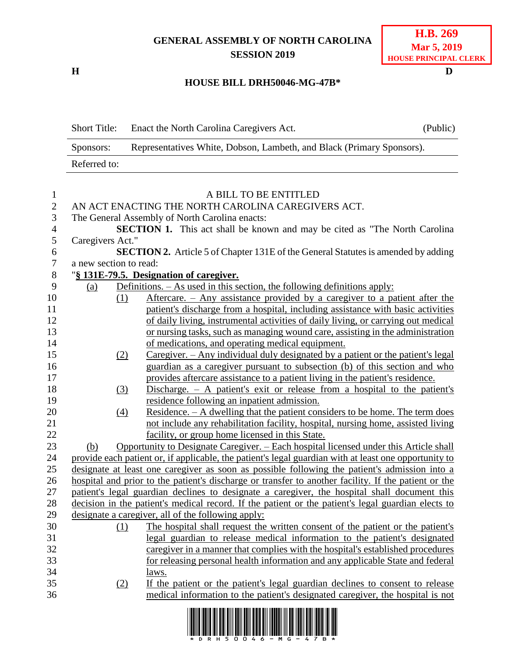## **GENERAL ASSEMBLY OF NORTH CAROLINA SESSION 2019**

**H D**

## **HOUSE BILL DRH50046-MG-47B\***

| <b>Short Title:</b> | Enact the North Carolina Caregivers Act.                              | (Public) |
|---------------------|-----------------------------------------------------------------------|----------|
| Sponsors:           | Representatives White, Dobson, Lambeth, and Black (Primary Sponsors). |          |
| Referred to:        |                                                                       |          |

| $\mathbf{1}$   |                                                    |     | A BILL TO BE ENTITLED                                                                                 |  |  |  |
|----------------|----------------------------------------------------|-----|-------------------------------------------------------------------------------------------------------|--|--|--|
| $\mathbf{2}$   | AN ACT ENACTING THE NORTH CAROLINA CAREGIVERS ACT. |     |                                                                                                       |  |  |  |
| 3              |                                                    |     | The General Assembly of North Carolina enacts:                                                        |  |  |  |
| $\overline{4}$ |                                                    |     | <b>SECTION 1.</b> This act shall be known and may be cited as "The North Carolina"                    |  |  |  |
| 5              | Caregivers Act."                                   |     |                                                                                                       |  |  |  |
| 6              |                                                    |     | <b>SECTION 2.</b> Article 5 of Chapter 131E of the General Statutes is amended by adding              |  |  |  |
| $\overline{7}$ | a new section to read:                             |     |                                                                                                       |  |  |  |
| 8              | "§ 131E-79.5. Designation of caregiver.            |     |                                                                                                       |  |  |  |
| 9              | (a)                                                |     | Definitions. $-$ As used in this section, the following definitions apply:                            |  |  |  |
| 10             |                                                    | (1) | Aftercare. – Any assistance provided by a caregiver to a patient after the                            |  |  |  |
| 11             |                                                    |     | patient's discharge from a hospital, including assistance with basic activities                       |  |  |  |
| 12             |                                                    |     | of daily living, instrumental activities of daily living, or carrying out medical                     |  |  |  |
| 13             |                                                    |     | or nursing tasks, such as managing wound care, assisting in the administration                        |  |  |  |
| 14             |                                                    |     | of medications, and operating medical equipment.                                                      |  |  |  |
| 15             |                                                    | (2) | Caregiver. - Any individual duly designated by a patient or the patient's legal                       |  |  |  |
| 16             |                                                    |     | guardian as a caregiver pursuant to subsection (b) of this section and who                            |  |  |  |
| 17             |                                                    |     | provides aftercare assistance to a patient living in the patient's residence.                         |  |  |  |
| 18             |                                                    | (3) | Discharge. $-$ A patient's exit or release from a hospital to the patient's                           |  |  |  |
| 19             |                                                    |     | residence following an inpatient admission.                                                           |  |  |  |
| 20             |                                                    | (4) | Residence. $- A$ dwelling that the patient considers to be home. The term does                        |  |  |  |
| 21             |                                                    |     | not include any rehabilitation facility, hospital, nursing home, assisted living                      |  |  |  |
| 22             |                                                    |     | facility, or group home licensed in this State.                                                       |  |  |  |
| 23             | (b)                                                |     | Opportunity to Designate Caregiver. – Each hospital licensed under this Article shall                 |  |  |  |
| 24             |                                                    |     | provide each patient or, if applicable, the patient's legal guardian with at least one opportunity to |  |  |  |
| 25             |                                                    |     | designate at least one caregiver as soon as possible following the patient's admission into a         |  |  |  |
| 26             |                                                    |     | hospital and prior to the patient's discharge or transfer to another facility. If the patient or the  |  |  |  |
| 27             |                                                    |     | patient's legal guardian declines to designate a caregiver, the hospital shall document this          |  |  |  |
| 28             |                                                    |     | decision in the patient's medical record. If the patient or the patient's legal guardian elects to    |  |  |  |
| 29             |                                                    |     | designate a caregiver, all of the following apply:                                                    |  |  |  |
| 30             |                                                    | (1) | The hospital shall request the written consent of the patient or the patient's                        |  |  |  |
| 31             |                                                    |     | legal guardian to release medical information to the patient's designated                             |  |  |  |
| 32             |                                                    |     | caregiver in a manner that complies with the hospital's established procedures                        |  |  |  |
| 33             |                                                    |     | for releasing personal health information and any applicable State and federal                        |  |  |  |
| 34             |                                                    |     | laws.                                                                                                 |  |  |  |
| 35             |                                                    | (2) | If the patient or the patient's legal guardian declines to consent to release                         |  |  |  |
| 36             |                                                    |     | medical information to the patient's designated caregiver, the hospital is not                        |  |  |  |
|                |                                                    |     |                                                                                                       |  |  |  |